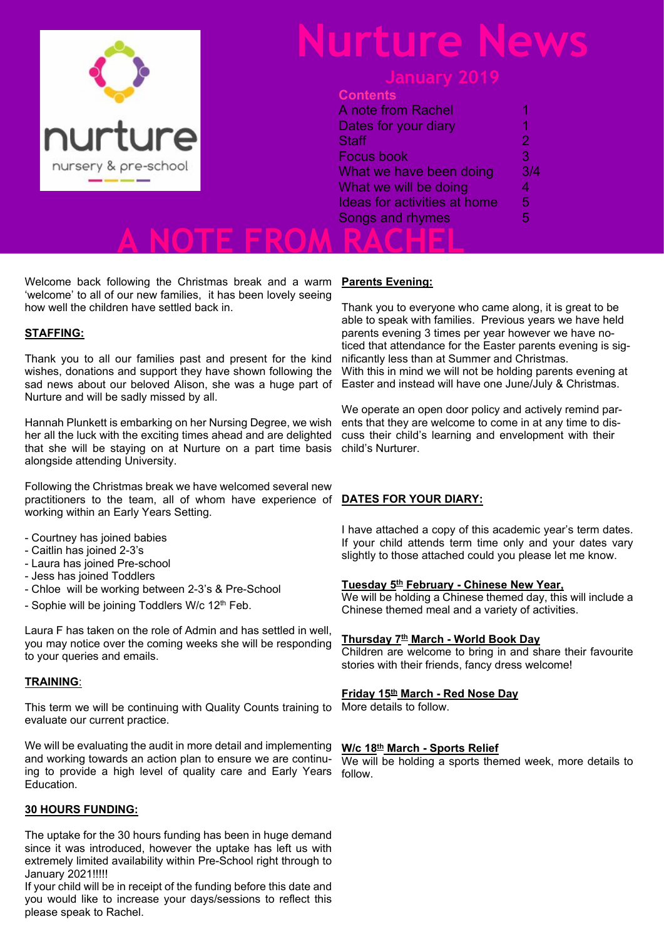

# **Nurture News**

### **Contents**

|            | A note from Rachel                  |     |
|------------|-------------------------------------|-----|
|            | Dates for your diary                |     |
| ture       | <b>Staff</b>                        |     |
|            | <b>Focus book</b>                   |     |
| pre-school | What we have been doing             | 3/4 |
|            | What we will be doing               |     |
|            | <b>Ideas for activities at home</b> | 5   |
|            | Songs and rhymes                    |     |
|            |                                     |     |
|            |                                     |     |

Welcome back following the Christmas break and a warm 'welcome' to all of our new families, it has been lovely seeing how well the children have settled back in.

### **STAFFING:**

Thank you to all our families past and present for the kind wishes, donations and support they have shown following the sad news about our beloved Alison, she was a huge part of Nurture and will be sadly missed by all.

Hannah Plunkett is embarking on her Nursing Degree, we wish her all the luck with the exciting times ahead and are delighted that she will be staying on at Nurture on a part time basis alongside attending University.

Following the Christmas break we have welcomed several new practitioners to the team, all of whom have experience of working within an Early Years Setting.

- Courtney has joined babies
- Caitlin has joined 2-3's
- Laura has joined Pre-school
- Jess has joined Toddlers
- Chloe will be working between 2-3's & Pre-School
- Sophie will be joining Toddlers W/c 12<sup>th</sup> Feb.

Laura F has taken on the role of Admin and has settled in well, you may notice over the coming weeks she will be responding to your queries and emails.

### **TRAINING**:

This term we will be continuing with Quality Counts training to evaluate our current practice.

We will be evaluating the audit in more detail and implementing and working towards an action plan to ensure we are continuing to provide a high level of quality care and Early Years Education.

### **30 HOURS FUNDING:**

The uptake for the 30 hours funding has been in huge demand since it was introduced, however the uptake has left us with extremely limited availability within Pre-School right through to January 2021!!!!!

If your child will be in receipt of the funding before this date and you would like to increase your days/sessions to reflect this please speak to Rachel.

### **Parents Evening:**

Thank you to everyone who came along, it is great to be able to speak with families. Previous years we have held parents evening 3 times per year however we have noticed that attendance for the Easter parents evening is significantly less than at Summer and Christmas. With this in mind we will not be holding parents evening at Easter and instead will have one June/July & Christmas.

We operate an open door policy and actively remind parents that they are welcome to come in at any time to discuss their child's learning and envelopment with their child's Nurturer.

### **DATES FOR YOUR DIARY:**

I have attached a copy of this academic year's term dates. If your child attends term time only and your dates vary slightly to those attached could you please let me know.

### **Tuesday 5th February - Chinese New Year,**

We will be holding a Chinese themed day, this will include a Chinese themed meal and a variety of activities.

### **Thursday 7th March - World Book Day**

Children are welcome to bring in and share their favourite stories with their friends, fancy dress welcome!

### **Friday 15th March - Red Nose Day**

More details to follow.

### **W/c 18th March - Sports Relief**

We will be holding a sports themed week, more details to follow.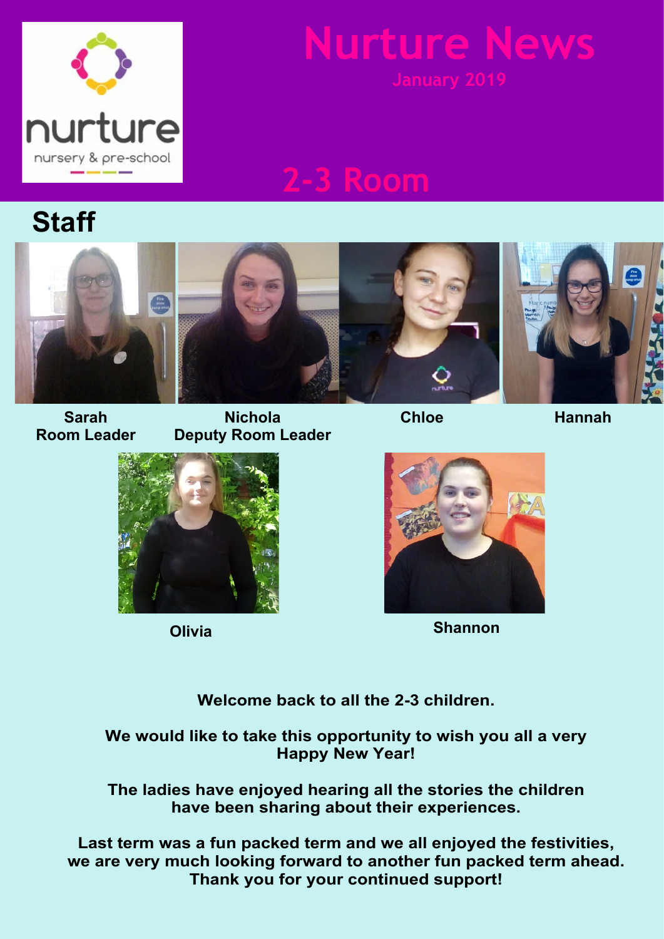

# **Mure**

# **2-3 Room**

## **Staff**



**Sarah Room Leader**

**Nichola Deputy Room Leader**



**Hannah**



**Olivia**



**Shannon**

**Welcome back to all the 2-3 children.**

**We would like to take this opportunity to wish you all a very Happy New Year!**

**The ladies have enjoyed hearing all the stories the children have been sharing about their experiences.**

**Last term was a fun packed term and we all enjoyed the festivities, we are very much looking forward to another fun packed term ahead. Thank you for your continued support!**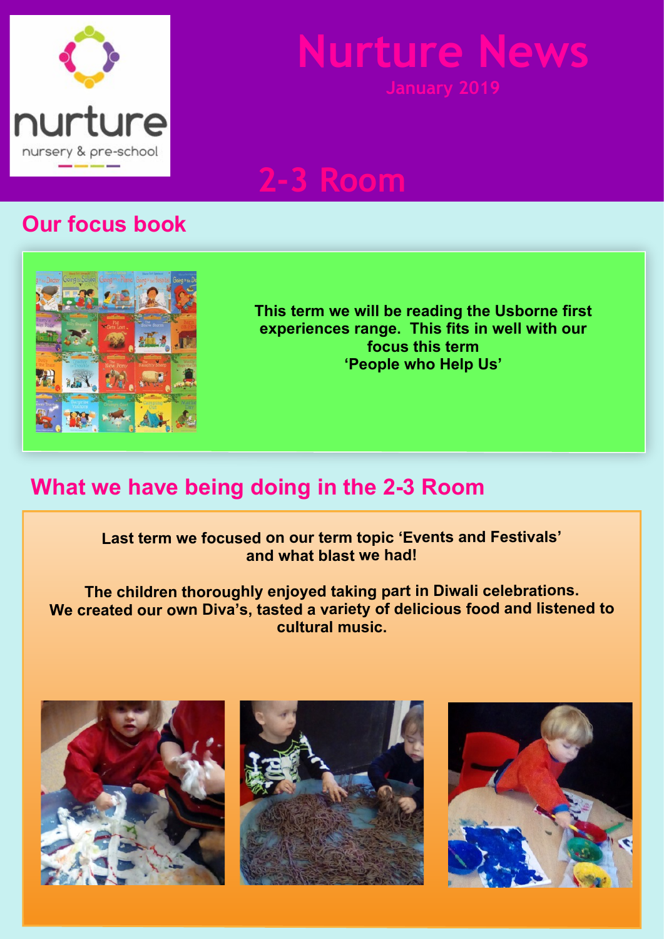

# **Nurture New**

## **2-3 Room**

### **Our focus book**



**This term we will be reading the Usborne first experiences range. This fits in well with our focus this term 'People who Help Us'**

### **What we have being doing in the 2-3 Room**

**Last term we focused on our term topic 'Events and Festivals' and what blast we had!**

**The children thoroughly enjoyed taking part in Diwali celebrations. We created our own Diva's, tasted a variety of delicious food and listened to cultural music.**





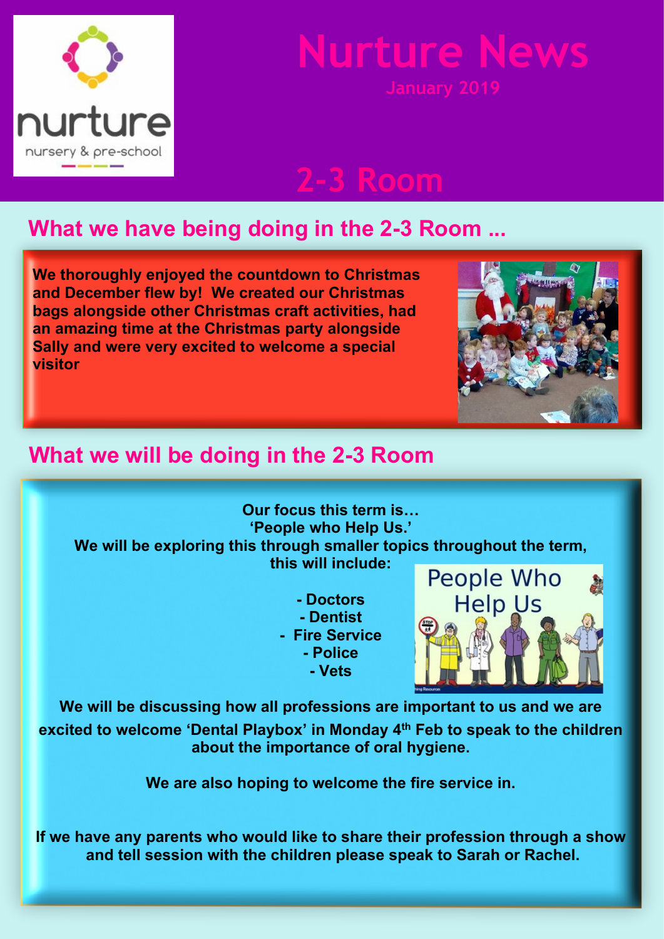

# **Nurture Ne**

**2-3 Room**

## **What we have being doing in the 2-3 Room ...**

**We thoroughly enjoyed the countdown to Christmas and December flew by! We created our Christmas bags alongside other Christmas craft activities, had an amazing time at the Christmas party alongside Sally and were very excited to welcome a special visitor**



### **What we will be doing in the 2-3 Room**

**Our focus this term is… 'People who Help Us.' We will be exploring this through smaller topics throughout the term, this will include:**

> **- Doctors - Dentist - Fire Service - Police - Vets**



**We will be discussing how all professions are important to us and we are excited to welcome 'Dental Playbox' in Monday 4th Feb to speak to the children about the importance of oral hygiene.**

**We are also hoping to welcome the fire service in.**

**If we have any parents who would like to share their profession through a show and tell session with the children please speak to Sarah or Rachel.**